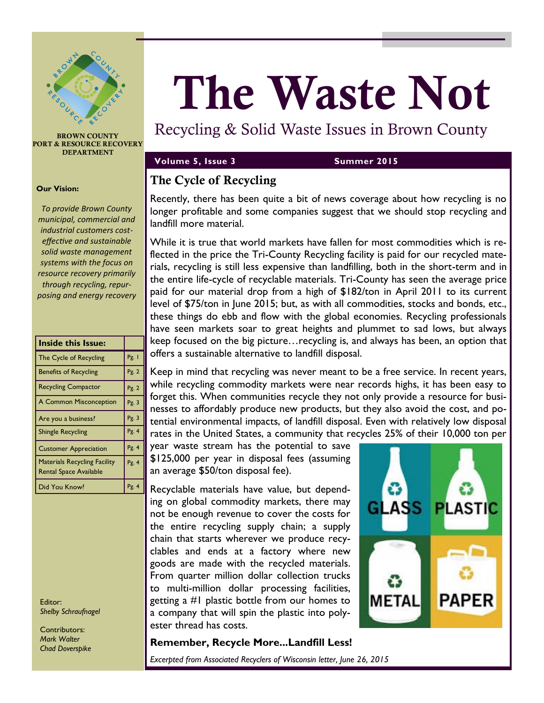

**BROWN COUNTY PORT & RESOURCE RECOVERY DEPARTMENT**

### **Our Vision:**

*To provide Brown County municipal, commercial and industrial customers costeffective and sustainable solid waste management systems with the focus on resource recovery primarily through recycling, repurposing and energy recovery*

| <b>Inside this Issue:</b>                                            |       |
|----------------------------------------------------------------------|-------|
| The Cycle of Recycling                                               | Pg. I |
| <b>Benefits of Recycling</b>                                         | Pg. 2 |
| <b>Recycling Compactor</b>                                           | Pg. 2 |
| <b>A Common Misconception</b>                                        | Pg.3  |
| Are you a business?                                                  | Pg.3  |
| <b>Shingle Recycling</b>                                             | Pg.4  |
| <b>Customer Appreciation</b>                                         | Pg.4  |
| <b>Materials Recycling Facility</b><br><b>Rental Space Available</b> | Pg.4  |
| Did You Know?                                                        | Pg.4  |

Editor: *Shelby Schraufnagel*

Contributors: *Mark Walter Chad Doverspike*

# **The Waste Not**

# Recycling & Solid Waste Issues in Brown County

### **Volume 5, Issue 3 Summer 2015**

### **The Cycle of Recycling**

Recently, there has been quite a bit of news coverage about how recycling is no longer profitable and some companies suggest that we should stop recycling and landfill more material.

While it is true that world markets have fallen for most commodities which is reflected in the price the Tri-County Recycling facility is paid for our recycled materials, recycling is still less expensive than landfilling, both in the short-term and in the entire life-cycle of recyclable materials. Tri-County has seen the average price paid for our material drop from a high of \$182/ton in April 2011 to its current level of \$75/ton in June 2015; but, as with all commodities, stocks and bonds, etc., these things do ebb and flow with the global economies. Recycling professionals have seen markets soar to great heights and plummet to sad lows, but always keep focused on the big picture…recycling is, and always has been, an option that offers a sustainable alternative to landfill disposal.

Keep in mind that recycling was never meant to be a free service. In recent years, while recycling commodity markets were near records highs, it has been easy to forget this. When communities recycle they not only provide a resource for businesses to affordably produce new products, but they also avoid the cost, and potential environmental impacts, of landfill disposal. Even with relatively low disposal rates in the United States, a community that recycles 25% of their 10,000 ton per

year waste stream has the potential to save \$125,000 per year in disposal fees (assuming an average \$50/ton disposal fee).

Recyclable materials have value, but depending on global commodity markets, there may not be enough revenue to cover the costs for the entire recycling supply chain; a supply chain that starts wherever we produce recyclables and ends at a factory where new goods are made with the recycled materials. From quarter million dollar collection trucks to multi-million dollar processing facilities, getting a #1 plastic bottle from our homes to a company that will spin the plastic into polyester thread has costs.



### **Remember, Recycle More...Landfill Less!**

*Excerpted from Associated Recyclers of Wisconsin letter, June 26, 2015*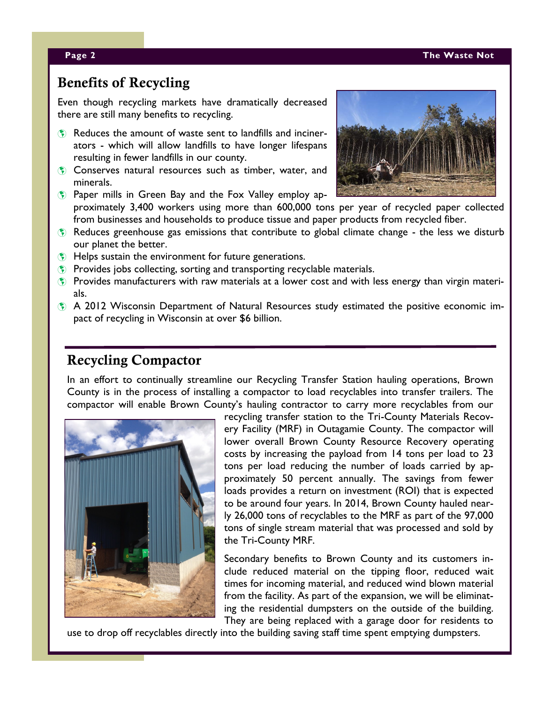### **Page 2 The Waste Not**

### **Benefits of Recycling**

Even though recycling markets have dramatically decreased there are still many benefits to recycling.

- Reduces the amount of waste sent to landfills and incinerators - which will allow landfills to have longer lifespans resulting in fewer landfills in our county.
- **Conserves natural resources such as timber, water, and** minerals.
- **Paper mills in Green Bay and the Fox Valley employ ap**proximately 3,400 workers using more than 600,000 tons per year of recycled paper collected from businesses and households to produce tissue and paper products from recycled fiber.



- $\bullet$  Helps sustain the environment for future generations.
- **Provides jobs collecting, sorting and transporting recyclable materials.**
- **Provides manufacturers with raw materials at a lower cost and with less energy than virgin materi**als.
- A 2012 Wisconsin Department of Natural Resources study estimated the positive economic impact of recycling in Wisconsin at over \$6 billion.

# **Recycling Compactor**

In an effort to continually streamline our Recycling Transfer Station hauling operations, Brown County is in the process of installing a compactor to load recyclables into transfer trailers. The compactor will enable Brown County's hauling contractor to carry more recyclables from our



recycling transfer station to the Tri-County Materials Recovery Facility (MRF) in Outagamie County. The compactor will lower overall Brown County Resource Recovery operating costs by increasing the payload from 14 tons per load to 23 tons per load reducing the number of loads carried by approximately 50 percent annually. The savings from fewer loads provides a return on investment (ROI) that is expected to be around four years. In 2014, Brown County hauled nearly 26,000 tons of recyclables to the MRF as part of the 97,000 tons of single stream material that was processed and sold by the Tri-County MRF.

Secondary benefits to Brown County and its customers include reduced material on the tipping floor, reduced wait times for incoming material, and reduced wind blown material from the facility. As part of the expansion, we will be eliminating the residential dumpsters on the outside of the building. They are being replaced with a garage door for residents to

use to drop off recyclables directly into the building saving staff time spent emptying dumpsters.

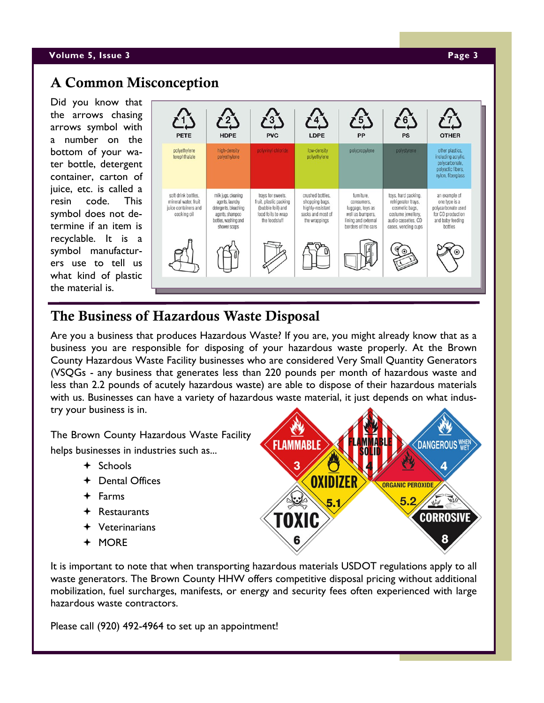### **Volume 5, Issue 3 Page 3**

# **A Common Misconception**

Did you know that the arrows chasing arrows symbol with a number on the bottom of your water bottle, detergent container, carton of juice, etc. is called a resin code. This symbol does not determine if an item is recyclable. It is a symbol manufacturers use to tell us what kind of plastic the material is.



# **The Business of Hazardous Waste Disposal**

Are you a business that produces Hazardous Waste? If you are, you might already know that as a business you are responsible for disposing of your hazardous waste properly. At the Brown County Hazardous Waste Facility businesses who are considered Very Small Quantity Generators (VSQGs - any business that generates less than 220 pounds per month of hazardous waste and less than 2.2 pounds of acutely hazardous waste) are able to dispose of their hazardous materials with us. Businesses can have a variety of hazardous waste material, it just depends on what industry your business is in.

The Brown County Hazardous Waste Facility helps businesses in industries such as...

- $+$  Schools
- Dental Offices
- Farms
- Restaurants
- $\div$  Veterinarians
- MORE



It is important to note that when transporting hazardous materials USDOT regulations apply to all waste generators. The Brown County HHW offers competitive disposal pricing without additional mobilization, fuel surcharges, manifests, or energy and security fees often experienced with large hazardous waste contractors.

Please call (920) 492-4964 to set up an appointment!